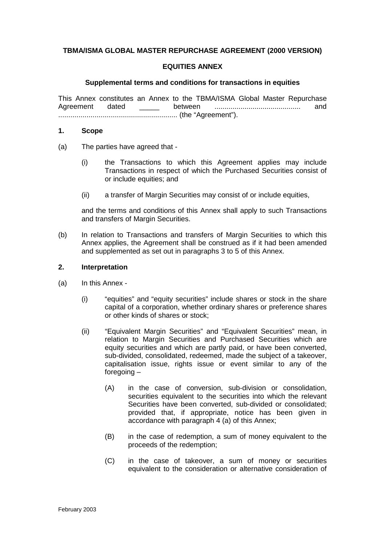## **TBMA/ISMA GLOBAL MASTER REPURCHASE AGREEMENT (2000 VERSION)**

### **EQUITIES ANNEX**

#### **Supplemental terms and conditions for transactions in equities**

This Annex constitutes an Annex to the TBMA/ISMA Global Master Repurchase Agreement dated \_\_\_\_\_ between ........................................... and ........................................................... (the "Agreement").

#### **1. Scope**

- (a) The parties have agreed that
	- (i) the Transactions to which this Agreement applies may include Transactions in respect of which the Purchased Securities consist of or include equities; and
	- (ii) a transfer of Margin Securities may consist of or include equities,

and the terms and conditions of this Annex shall apply to such Transactions and transfers of Margin Securities.

(b) In relation to Transactions and transfers of Margin Securities to which this Annex applies, the Agreement shall be construed as if it had been amended and supplemented as set out in paragraphs 3 to 5 of this Annex.

#### **2. Interpretation**

- (a) In this Annex
	- (i) "equities" and "equity securities" include shares or stock in the share capital of a corporation, whether ordinary shares or preference shares or other kinds of shares or stock;
	- (ii) "Equivalent Margin Securities" and "Equivalent Securities" mean, in relation to Margin Securities and Purchased Securities which are equity securities and which are partly paid, or have been converted, sub-divided, consolidated, redeemed, made the subject of a takeover, capitalisation issue, rights issue or event similar to any of the foregoing –
		- (A) in the case of conversion, sub-division or consolidation, securities equivalent to the securities into which the relevant Securities have been converted, sub-divided or consolidated; provided that, if appropriate, notice has been given in accordance with paragraph 4 (a) of this Annex;
		- (B) in the case of redemption, a sum of money equivalent to the proceeds of the redemption;
		- (C) in the case of takeover, a sum of money or securities equivalent to the consideration or alternative consideration of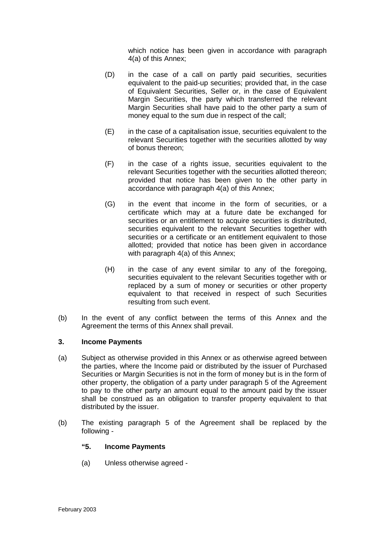which notice has been given in accordance with paragraph 4(a) of this Annex;

- (D) in the case of a call on partly paid securities, securities equivalent to the paid-up securities; provided that, in the case of Equivalent Securities, Seller or, in the case of Equivalent Margin Securities, the party which transferred the relevant Margin Securities shall have paid to the other party a sum of money equal to the sum due in respect of the call;
- $(E)$  in the case of a capitalisation issue, securities equivalent to the relevant Securities together with the securities allotted by way of bonus thereon;
- (F) in the case of a rights issue, securities equivalent to the relevant Securities together with the securities allotted thereon; provided that notice has been given to the other party in accordance with paragraph 4(a) of this Annex;
- (G) in the event that income in the form of securities, or a certificate which may at a future date be exchanged for securities or an entitlement to acquire securities is distributed, securities equivalent to the relevant Securities together with securities or a certificate or an entitlement equivalent to those allotted; provided that notice has been given in accordance with paragraph 4(a) of this Annex;
- (H) in the case of any event similar to any of the foregoing, securities equivalent to the relevant Securities together with or replaced by a sum of money or securities or other property equivalent to that received in respect of such Securities resulting from such event.
- (b) In the event of any conflict between the terms of this Annex and the Agreement the terms of this Annex shall prevail.

#### **3. Income Payments**

- (a) Subject as otherwise provided in this Annex or as otherwise agreed between the parties, where the Income paid or distributed by the issuer of Purchased Securities or Margin Securities is not in the form of money but is in the form of other property, the obligation of a party under paragraph 5 of the Agreement to pay to the other party an amount equal to the amount paid by the issuer shall be construed as an obligation to transfer property equivalent to that distributed by the issuer.
- (b) The existing paragraph 5 of the Agreement shall be replaced by the following -

### **"5. Income Payments**

(a) Unless otherwise agreed -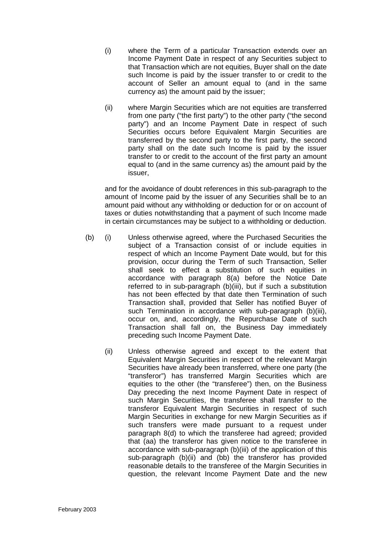- (i) where the Term of a particular Transaction extends over an Income Payment Date in respect of any Securities subject to that Transaction which are not equities, Buyer shall on the date such Income is paid by the issuer transfer to or credit to the account of Seller an amount equal to (and in the same currency as) the amount paid by the issuer;
- (ii) where Margin Securities which are not equities are transferred from one party ("the first party") to the other party ("the second party") and an Income Payment Date in respect of such Securities occurs before Equivalent Margin Securities are transferred by the second party to the first party, the second party shall on the date such Income is paid by the issuer transfer to or credit to the account of the first party an amount equal to (and in the same currency as) the amount paid by the issuer,

and for the avoidance of doubt references in this sub-paragraph to the amount of Income paid by the issuer of any Securities shall be to an amount paid without any withholding or deduction for or on account of taxes or duties notwithstanding that a payment of such Income made in certain circumstances may be subject to a withholding or deduction.

- (b) (i) Unless otherwise agreed, where the Purchased Securities the subject of a Transaction consist of or include equities in respect of which an Income Payment Date would, but for this provision, occur during the Term of such Transaction, Seller shall seek to effect a substitution of such equities in accordance with paragraph 8(a) before the Notice Date referred to in sub-paragraph (b)(iii), but if such a substitution has not been effected by that date then Termination of such Transaction shall, provided that Seller has notified Buyer of such Termination in accordance with sub-paragraph (b)(iii), occur on, and, accordingly, the Repurchase Date of such Transaction shall fall on, the Business Day immediately preceding such Income Payment Date.
	- (ii) Unless otherwise agreed and except to the extent that Equivalent Margin Securities in respect of the relevant Margin Securities have already been transferred, where one party (the "transferor") has transferred Margin Securities which are equities to the other (the "transferee") then, on the Business Day preceding the next Income Payment Date in respect of such Margin Securities, the transferee shall transfer to the transferor Equivalent Margin Securities in respect of such Margin Securities in exchange for new Margin Securities as if such transfers were made pursuant to a request under paragraph 8(d) to which the transferee had agreed; provided that (aa) the transferor has given notice to the transferee in accordance with sub-paragraph (b)(iii) of the application of this sub-paragraph (b)(ii) and (bb) the transferor has provided reasonable details to the transferee of the Margin Securities in question, the relevant Income Payment Date and the new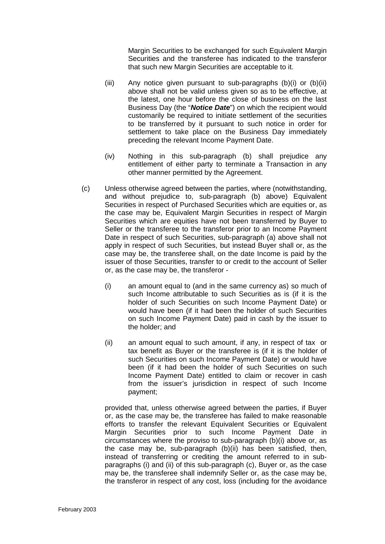Margin Securities to be exchanged for such Equivalent Margin Securities and the transferee has indicated to the transferor that such new Margin Securities are acceptable to it.

- (iii) Any notice given pursuant to sub-paragraphs (b)(i) or (b)(ii) above shall not be valid unless given so as to be effective, at the latest, one hour before the close of business on the last Business Day (the "*Notice Date*") on which the recipient would customarily be required to initiate settlement of the securities to be transferred by it pursuant to such notice in order for settlement to take place on the Business Day immediately preceding the relevant Income Payment Date.
- (iv) Nothing in this sub-paragraph (b) shall prejudice any entitlement of either party to terminate a Transaction in any other manner permitted by the Agreement.
- (c) Unless otherwise agreed between the parties, where (notwithstanding, and without prejudice to, sub-paragraph (b) above) Equivalent Securities in respect of Purchased Securities which are equities or, as the case may be, Equivalent Margin Securities in respect of Margin Securities which are equities have not been transferred by Buyer to Seller or the transferee to the transferor prior to an Income Payment Date in respect of such Securities, sub-paragraph (a) above shall not apply in respect of such Securities, but instead Buyer shall or, as the case may be, the transferee shall, on the date Income is paid by the issuer of those Securities, transfer to or credit to the account of Seller or, as the case may be, the transferor -
	- (i) an amount equal to (and in the same currency as) so much of such Income attributable to such Securities as is (if it is the holder of such Securities on such Income Payment Date) or would have been (if it had been the holder of such Securities on such Income Payment Date) paid in cash by the issuer to the holder; and
	- (ii) an amount equal to such amount, if any, in respect of tax or tax benefit as Buyer or the transferee is (if it is the holder of such Securities on such Income Payment Date) or would have been (if it had been the holder of such Securities on such Income Payment Date) entitled to claim or recover in cash from the issuer's jurisdiction in respect of such Income payment;

provided that, unless otherwise agreed between the parties, if Buyer or, as the case may be, the transferee has failed to make reasonable efforts to transfer the relevant Equivalent Securities or Equivalent Margin Securities prior to such Income Payment Date in circumstances where the proviso to sub-paragraph (b)(i) above or, as the case may be, sub-paragraph (b)(ii) has been satisfied, then, instead of transferring or crediting the amount referred to in subparagraphs (i) and (ii) of this sub-paragraph (c), Buyer or, as the case may be, the transferee shall indemnify Seller or, as the case may be, the transferor in respect of any cost, loss (including for the avoidance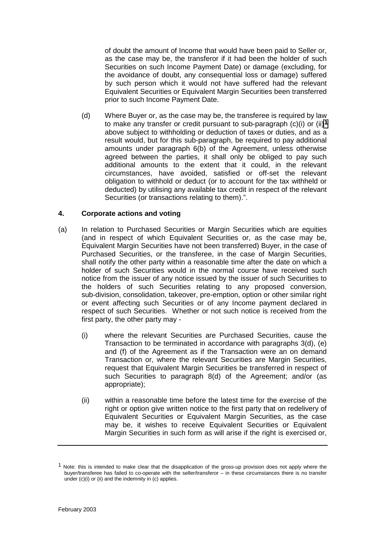of doubt the amount of Income that would have been paid to Seller or, as the case may be, the transferor if it had been the holder of such Securities on such Income Payment Date) or damage (excluding, for the avoidance of doubt, any consequential loss or damage) suffered by such person which it would not have suffered had the relevant Equivalent Securities or Equivalent Margin Securities been transferred prior to such Income Payment Date.

(d) Where Buyer or, as the case may be, the transferee is required by law to make any transfer or credit pursuant to sub-paragraph (c)(i) or (ii)*1* above subject to withholding or deduction of taxes or duties, and as a result would, but for this sub-paragraph, be required to pay additional amounts under paragraph 6(b) of the Agreement, unless otherwise agreed between the parties, it shall only be obliged to pay such additional amounts to the extent that it could, in the relevant circumstances, have avoided, satisfied or off-set the relevant obligation to withhold or deduct (or to account for the tax withheld or deducted) by utilising any available tax credit in respect of the relevant Securities (or transactions relating to them).".

## **4. Corporate actions and voting**

- (a) In relation to Purchased Securities or Margin Securities which are equities (and in respect of which Equivalent Securities or, as the case may be, Equivalent Margin Securities have not been transferred) Buyer, in the case of Purchased Securities, or the transferee, in the case of Margin Securities, shall notify the other party within a reasonable time after the date on which a holder of such Securities would in the normal course have received such notice from the issuer of any notice issued by the issuer of such Securities to the holders of such Securities relating to any proposed conversion, sub-division, consolidation, takeover, pre-emption, option or other similar right or event affecting such Securities or of any Income payment declared in respect of such Securities. Whether or not such notice is received from the first party, the other party may -
	- (i) where the relevant Securities are Purchased Securities, cause the Transaction to be terminated in accordance with paragraphs 3(d), (e) and (f) of the Agreement as if the Transaction were an on demand Transaction or, where the relevant Securities are Margin Securities, request that Equivalent Margin Securities be transferred in respect of such Securities to paragraph 8(d) of the Agreement; and/or (as appropriate);
	- (ii) within a reasonable time before the latest time for the exercise of the right or option give written notice to the first party that on redelivery of Equivalent Securities or Equivalent Margin Securities, as the case may be, it wishes to receive Equivalent Securities or Equivalent Margin Securities in such form as will arise if the right is exercised or,

<sup>&</sup>lt;sup>1</sup> Note: this is intended to make clear that the disapplication of the gross-up provision does not apply where the buyer/transferee has failed to co-operate with the seller/transferor – in these circumstances there is no transfer under (c)(i) or (ii) and the indemnity in (c) applies.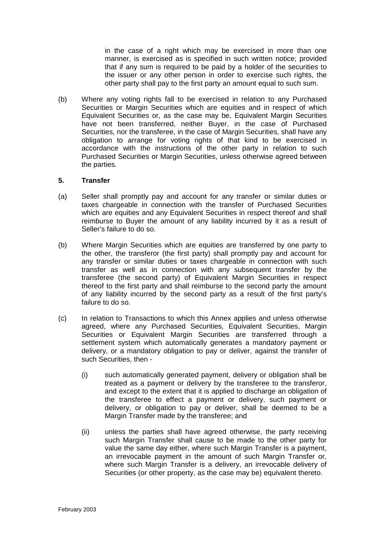in the case of a right which may be exercised in more than one manner, is exercised as is specified in such written notice; provided that if any sum is required to be paid by a holder of the securities to the issuer or any other person in order to exercise such rights, the other party shall pay to the first party an amount equal to such sum.

(b) Where any voting rights fall to be exercised in relation to any Purchased Securities or Margin Securities which are equities and in respect of which Equivalent Securities or, as the case may be, Equivalent Margin Securities have not been transferred, neither Buyer, in the case of Purchased Securities, nor the transferee, in the case of Margin Securities, shall have any obligation to arrange for voting rights of that kind to be exercised in accordance with the instructions of the other party in relation to such Purchased Securities or Margin Securities, unless otherwise agreed between the parties.

### **5. Transfer**

- (a) Seller shall promptly pay and account for any transfer or similar duties or taxes chargeable in connection with the transfer of Purchased Securities which are equities and any Equivalent Securities in respect thereof and shall reimburse to Buyer the amount of any liability incurred by it as a result of Seller's failure to do so.
- (b) Where Margin Securities which are equities are transferred by one party to the other, the transferor (the first party) shall promptly pay and account for any transfer or similar duties or taxes chargeable in connection with such transfer as well as in connection with any subsequent transfer by the transferee (the second party) of Equivalent Margin Securities in respect thereof to the first party and shall reimburse to the second party the amount of any liability incurred by the second party as a result of the first party's failure to do so.
- (c) In relation to Transactions to which this Annex applies and unless otherwise agreed, where any Purchased Securities, Equivalent Securities, Margin Securities or Equivalent Margin Securities are transferred through a settlement system which automatically generates a mandatory payment or delivery, or a mandatory obligation to pay or deliver, against the transfer of such Securities, then -
	- (i) such automatically generated payment, delivery or obligation shall be treated as a payment or delivery by the transferee to the transferor, and except to the extent that it is applied to discharge an obligation of the transferee to effect a payment or delivery, such payment or delivery, or obligation to pay or deliver, shall be deemed to be a Margin Transfer made by the transferee; and
	- (ii) unless the parties shall have agreed otherwise, the party receiving such Margin Transfer shall cause to be made to the other party for value the same day either, where such Margin Transfer is a payment, an irrevocable payment in the amount of such Margin Transfer or, where such Margin Transfer is a delivery, an irrevocable delivery of Securities (or other property, as the case may be) equivalent thereto.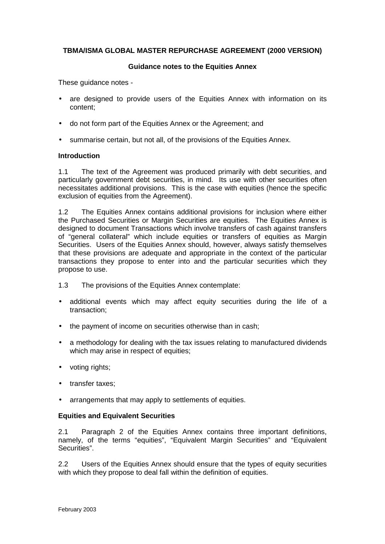## **TBMA/ISMA GLOBAL MASTER REPURCHASE AGREEMENT (2000 VERSION)**

### **Guidance notes to the Equities Annex**

These quidance notes -

- are designed to provide users of the Equities Annex with information on its content;
- do not form part of the Equities Annex or the Agreement; and
- summarise certain, but not all, of the provisions of the Equities Annex.

### **Introduction**

1.1 The text of the Agreement was produced primarily with debt securities, and particularly government debt securities, in mind. Its use with other securities often necessitates additional provisions. This is the case with equities (hence the specific exclusion of equities from the Agreement).

1.2 The Equities Annex contains additional provisions for inclusion where either the Purchased Securities or Margin Securities are equities. The Equities Annex is designed to document Transactions which involve transfers of cash against transfers of "general collateral" which include equities or transfers of equities as Margin Securities. Users of the Equities Annex should, however, always satisfy themselves that these provisions are adequate and appropriate in the context of the particular transactions they propose to enter into and the particular securities which they propose to use.

- 1.3 The provisions of the Equities Annex contemplate:
- additional events which may affect equity securities during the life of a transaction;
- the payment of income on securities otherwise than in cash;
- a methodology for dealing with the tax issues relating to manufactured dividends which may arise in respect of equities;
- voting rights;
- transfer taxes;
- arrangements that may apply to settlements of equities.

## **Equities and Equivalent Securities**

2.1 Paragraph 2 of the Equities Annex contains three important definitions, namely, of the terms "equities", "Equivalent Margin Securities" and "Equivalent Securities".

2.2 Users of the Equities Annex should ensure that the types of equity securities with which they propose to deal fall within the definition of equities.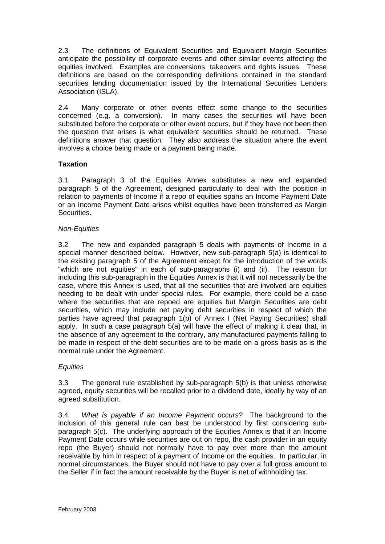2.3 The definitions of Equivalent Securities and Equivalent Margin Securities anticipate the possibility of corporate events and other similar events affecting the equities involved. Examples are conversions, takeovers and rights issues. These definitions are based on the corresponding definitions contained in the standard securities lending documentation issued by the International Securities Lenders Association (ISLA).

2.4 Many corporate or other events effect some change to the securities concerned (e.g. a conversion). In many cases the securities will have been substituted before the corporate or other event occurs, but if they have not been then the question that arises is what equivalent securities should be returned. These definitions answer that question. They also address the situation where the event involves a choice being made or a payment being made.

# **Taxation**

3.1 Paragraph 3 of the Equities Annex substitutes a new and expanded paragraph 5 of the Agreement, designed particularly to deal with the position in relation to payments of Income if a repo of equities spans an Income Payment Date or an Income Payment Date arises whilst equities have been transferred as Margin Securities.

## *Non-Equities*

3.2 The new and expanded paragraph 5 deals with payments of Income in a special manner described below. However, new sub-paragraph 5(a) is identical to the existing paragraph 5 of the Agreement except for the introduction of the words "which are not equities" in each of sub-paragraphs (i) and (ii). The reason for including this sub-paragraph in the Equities Annex is that it will not necessarily be the case, where this Annex is used, that all the securities that are involved are equities needing to be dealt with under special rules. For example, there could be a case where the securities that are repoed are equities but Margin Securities are debt securities, which may include net paying debt securities in respect of which the parties have agreed that paragraph 1(b) of Annex I (Net Paying Securities) shall apply. In such a case paragraph 5(a) will have the effect of making it clear that, in the absence of any agreement to the contrary, any manufactured payments falling to be made in respect of the debt securities are to be made on a gross basis as is the normal rule under the Agreement.

# *Equities*

3.3 The general rule established by sub-paragraph 5(b) is that unless otherwise agreed, equity securities will be recalled prior to a dividend date, ideally by way of an agreed substitution.

3.4 *What is payable if an Income Payment occurs?* The background to the inclusion of this general rule can best be understood by first considering subparagraph 5(c). The underlying approach of the Equities Annex is that if an Income Payment Date occurs while securities are out on repo, the cash provider in an equity repo (the Buyer) should not normally have to pay over more than the amount receivable by him in respect of a payment of Income on the equities. In particular, in normal circumstances, the Buyer should not have to pay over a full gross amount to the Seller if in fact the amount receivable by the Buyer is net of withholding tax.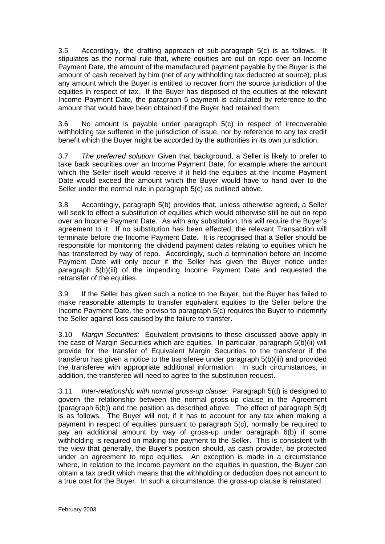3.5 Accordingly, the drafting approach of sub-paragraph 5(c) is as follows. It stipulates as the normal rule that, where equities are out on repo over an Income Payment Date, the amount of the manufactured payment payable by the Buyer is the amount of cash received by him (net of any withholding tax deducted at source), plus any amount which the Buyer is entitled to recover from the source jurisdiction of the equities in respect of tax. If the Buyer has disposed of the equities at the relevant Income Payment Date, the paragraph 5 payment is calculated by reference to the amount that would have been obtained if the Buyer had retained them.

3.6 No amount is payable under paragraph 5(c) in respect of irrecoverable withholding tax suffered in the jurisdiction of issue, nor by reference to any tax credit benefit which the Buyer might be accorded by the authorities in its own jurisdiction.

3.7 *The preferred solution:* Given that background, a Seller is likely to prefer to take back securities over an Income Payment Date, for example where the amount which the Seller itself would receive if it held the equities at the Income Payment Date would exceed the amount which the Buyer would have to hand over to the Seller under the normal rule in paragraph 5(c) as outlined above.

3.8 Accordingly, paragraph 5(b) provides that, unless otherwise agreed, a Seller will seek to effect a substitution of equities which would otherwise still be out on repo over an Income Payment Date. As with any substitution, this will require the Buyer's agreement to it. If no substitution has been effected, the relevant Transaction will terminate before the Income Payment Date. It is recognised that a Seller should be responsible for monitoring the dividend payment dates relating to equities which he has transferred by way of repo. Accordingly, such a termination before an Income Payment Date will only occur if the Seller has given the Buyer notice under paragraph 5(b)(iii) of the impending Income Payment Date and requested the retransfer of the equities.

3.9 If the Seller has given such a notice to the Buyer, but the Buyer has failed to make reasonable attempts to transfer equivalent equities to the Seller before the Income Payment Date, the proviso to paragraph 5(c) requires the Buyer to indemnify the Seller against loss caused by the failure to transfer.

3.10 *Margin Securities:* Equivalent provisions to those discussed above apply in the case of Margin Securities which are equities. In particular, paragraph 5(b)(ii) will provide for the transfer of Equivalent Margin Securities to the transferor if the transferor has given a notice to the transferee under paragraph 5(b)(iii) and provided the transferee with appropriate additional information. In such circumstances, in addition, the transferee will need to agree to the substitution request.

3.11 *Inter-relationship with normal gross-up clause:* Paragraph 5(d) is designed to govern the relationship between the normal gross-up clause in the Agreement (paragraph 6(b)) and the position as described above. The effect of paragraph 5(d) is as follows. The Buyer will not, if it has to account for any tax when making a payment in respect of equities pursuant to paragraph 5(c), normally be required to pay an additional amount by way of gross-up under paragraph 6(b) if some withholding is required on making the payment to the Seller. This is consistent with the view that generally, the Buyer's position should, as cash provider, be protected under an agreement to repo equities. An exception is made in a circumstance where, in relation to the Income payment on the equities in question, the Buyer can obtain a tax credit which means that the withholding or deduction does not amount to a true cost for the Buyer. In such a circumstance, the gross-up clause is reinstated.